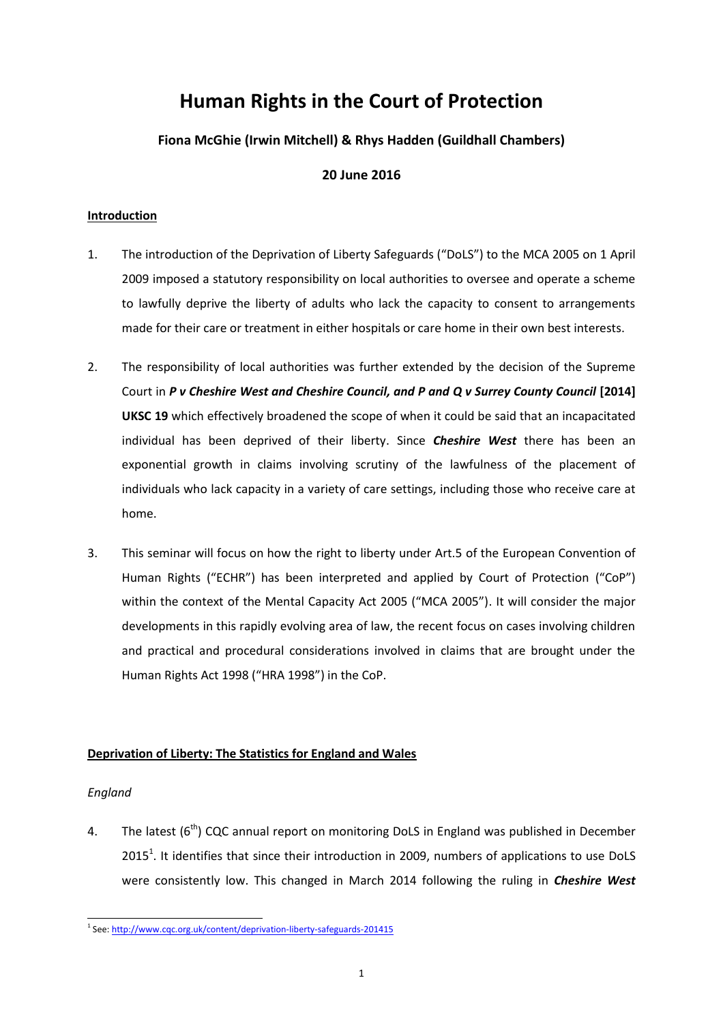# **Human Rights in the Court of Protection**

# **Fiona McGhie (Irwin Mitchell) & Rhys Hadden (Guildhall Chambers)**

# **20 June 2016**

# **Introduction**

- 1. The introduction of the Deprivation of Liberty Safeguards ("DoLS") to the MCA 2005 on 1 April 2009 imposed a statutory responsibility on local authorities to oversee and operate a scheme to lawfully deprive the liberty of adults who lack the capacity to consent to arrangements made for their care or treatment in either hospitals or care home in their own best interests.
- 2. The responsibility of local authorities was further extended by the decision of the Supreme Court in *P v Cheshire West and Cheshire Council, and P and Q v Surrey County Council* [2014] **UKSC 19** which effectively broadened the scope of when it could be said that an incapacitated individual has been deprived of their liberty. Since *Cheshire West* there has been an exponential growth in claims involving scrutiny of the lawfulness of the placement of individuals who lack capacity in a variety of care settings, including those who receive care at home.
- 3. This seminar will focus on how the right to liberty under Art.5 of the European Convention of Human Rights ("ECHR") has been interpreted and applied by Court of Protection ("CoP") within the context of the Mental Capacity Act 2005 ("MCA 2005"). It will consider the major developments in this rapidly evolving area of law, the recent focus on cases involving children and practical and procedural considerations involved in claims that are brought under the Human Rights Act 1998 ("HRA 1998") in the CoP.

# **Deprivation of Liberty: The Statistics for England and Wales**

# *England*

4. The latest  $(6<sup>th</sup>)$  CQC annual report on monitoring DoLS in England was published in December 2015<sup>1</sup>. It identifies that since their introduction in 2009, numbers of applications to use DoLS were consistently low. This changed in March 2014 following the ruling in *Cheshire West*

<sup>&</sup>lt;sup>1</sup> See[: http://www.cqc.org.uk/content/deprivation-liberty-safeguards-201415](http://www.cqc.org.uk/content/deprivation-liberty-safeguards-201415)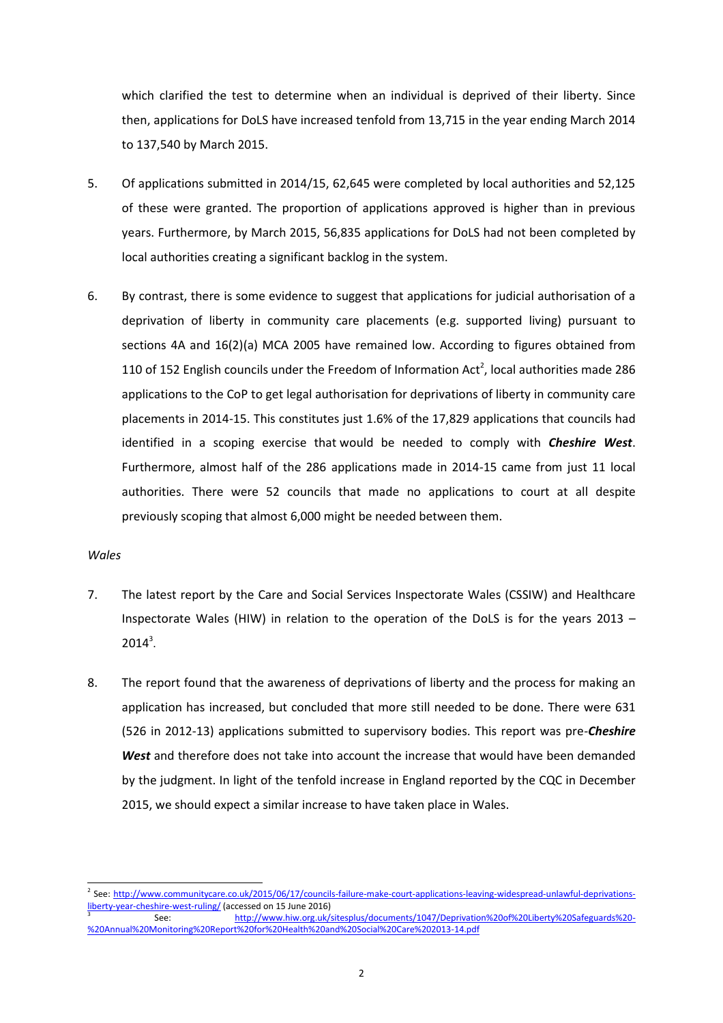which clarified the test to determine when an individual is deprived of their liberty. Since then, applications for DoLS have increased tenfold from 13,715 in the year ending March 2014 to 137,540 by March 2015.

- 5. Of applications submitted in 2014/15, 62,645 were completed by local authorities and 52,125 of these were granted. The proportion of applications approved is higher than in previous years. Furthermore, by March 2015, 56,835 applications for DoLS had not been completed by local authorities creating a significant backlog in the system.
- 6. By contrast, there is some evidence to suggest that applications for judicial authorisation of a deprivation of liberty in community care placements (e.g. supported living) pursuant to sections 4A and 16(2)(a) MCA 2005 have remained low. According to figures obtained from 110 of 152 English councils under the Freedom of Information Act<sup>2</sup>, local authorities made 286 applications to the CoP to get legal authorisation for deprivations of liberty in community care placements in 2014-15. This constitutes just 1.6% of the 17,829 applications that councils had identified in a scoping exercise that would be needed to comply with *Cheshire West*. Furthermore, almost half of the 286 applications made in 2014-15 came from just 11 local authorities. There were 52 councils that made no applications to court at all despite previously scoping that almost 6,000 might be needed between them.

#### *Wales*

l

- 7. The latest report by the Care and Social Services Inspectorate Wales (CSSIW) and Healthcare Inspectorate Wales (HIW) in relation to the operation of the DoLS is for the years 2013 –  $2014^3$ .
- 8. The report found that the awareness of deprivations of liberty and the process for making an application has increased, but concluded that more still needed to be done. There were 631 (526 in 2012-13) applications submitted to supervisory bodies. This report was pre-*Cheshire West* and therefore does not take into account the increase that would have been demanded by the judgment. In light of the tenfold increase in England reported by the CQC in December 2015, we should expect a similar increase to have taken place in Wales.

<sup>&</sup>lt;sup>2</sup> See: [http://www.communitycare.co.uk/2015/06/17/councils-failure-make-court-applications-leaving-widespread-unlawful-deprivations](http://www.communitycare.co.uk/2015/06/17/councils-failure-make-court-applications-leaving-widespread-unlawful-deprivations-liberty-year-cheshire-west-ruling/)[liberty-year-cheshire-west-ruling/](http://www.communitycare.co.uk/2015/06/17/councils-failure-make-court-applications-leaving-widespread-unlawful-deprivations-liberty-year-cheshire-west-ruling/) (accessed on 15 June 2016)

<sup>3</sup> See: [http://www.hiw.org.uk/sitesplus/documents/1047/Deprivation%20of%20Liberty%20Safeguards%20-](http://www.hiw.org.uk/sitesplus/documents/1047/Deprivation%20of%20Liberty%20Safeguards%20-%20Annual%20Monitoring%20Report%20for%20Health%20and%20Social%20Care%202013-14.pdf) [%20Annual%20Monitoring%20Report%20for%20Health%20and%20Social%20Care%202013-14.pdf](http://www.hiw.org.uk/sitesplus/documents/1047/Deprivation%20of%20Liberty%20Safeguards%20-%20Annual%20Monitoring%20Report%20for%20Health%20and%20Social%20Care%202013-14.pdf)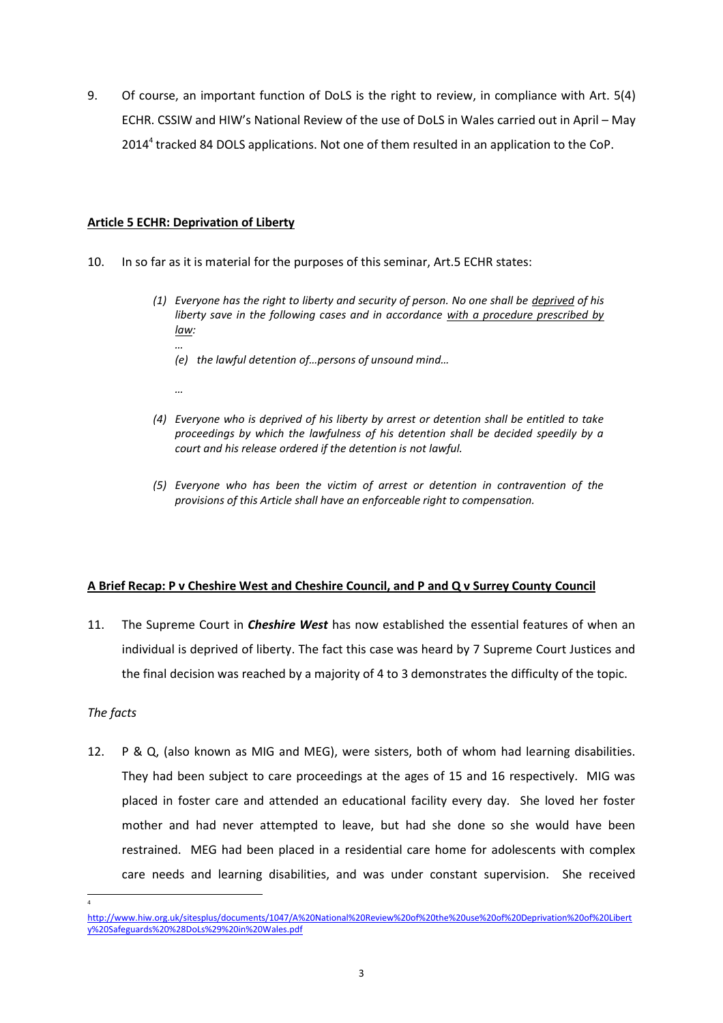9. Of course, an important function of DoLS is the right to review, in compliance with Art. 5(4) ECHR. CSSIW and HIW's National Review of the use of DoLS in Wales carried out in April – May 2014<sup>4</sup> tracked 84 DOLS applications. Not one of them resulted in an application to the CoP.

# **Article 5 ECHR: Deprivation of Liberty**

- 10. In so far as it is material for the purposes of this seminar, Art.5 ECHR states:
	- *(1) Everyone has the right to liberty and security of person. No one shall be deprived of his liberty save in the following cases and in accordance with a procedure prescribed by law:*
		- *… (e) the lawful detention of…persons of unsound mind…*
		- *…*
	- *(4) Everyone who is deprived of his liberty by arrest or detention shall be entitled to take proceedings by which the lawfulness of his detention shall be decided speedily by a court and his release ordered if the detention is not lawful.*
	- *(5) Everyone who has been the victim of arrest or detention in contravention of the provisions of this Article shall have an enforceable right to compensation.*

# **A Brief Recap: P v Cheshire West and Cheshire Council, and P and Q v Surrey County Council**

11. The Supreme Court in *Cheshire West* has now established the essential features of when an individual is deprived of liberty. The fact this case was heard by 7 Supreme Court Justices and the final decision was reached by a majority of 4 to 3 demonstrates the difficulty of the topic.

#### *The facts*

l 4

12. P & Q, (also known as MIG and MEG), were sisters, both of whom had learning disabilities. They had been subject to care proceedings at the ages of 15 and 16 respectively. MIG was placed in foster care and attended an educational facility every day. She loved her foster mother and had never attempted to leave, but had she done so she would have been restrained. MEG had been placed in a residential care home for adolescents with complex care needs and learning disabilities, and was under constant supervision. She received

[http://www.hiw.org.uk/sitesplus/documents/1047/A%20National%20Review%20of%20the%20use%20of%20Deprivation%20of%20Libert](http://www.hiw.org.uk/sitesplus/documents/1047/A%20National%20Review%20of%20the%20use%20of%20Deprivation%20of%20Liberty%20Safeguards%20%28DoLs%29%20in%20Wales.pdf) [y%20Safeguards%20%28DoLs%29%20in%20Wales.pdf](http://www.hiw.org.uk/sitesplus/documents/1047/A%20National%20Review%20of%20the%20use%20of%20Deprivation%20of%20Liberty%20Safeguards%20%28DoLs%29%20in%20Wales.pdf)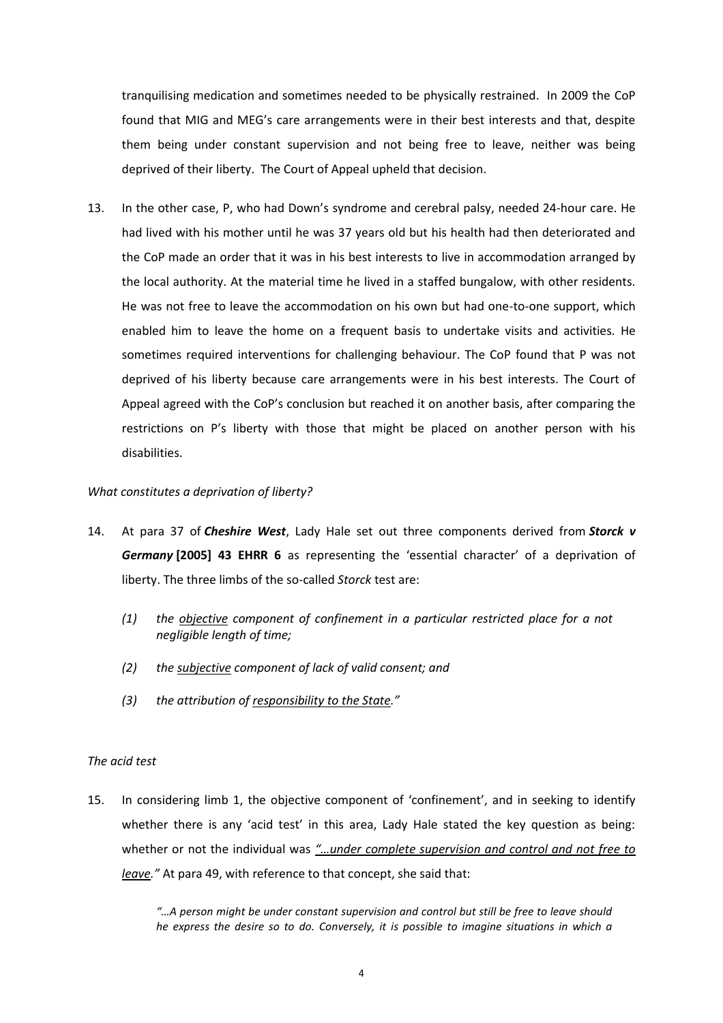tranquilising medication and sometimes needed to be physically restrained. In 2009 the CoP found that MIG and MEG's care arrangements were in their best interests and that, despite them being under constant supervision and not being free to leave, neither was being deprived of their liberty. The Court of Appeal upheld that decision.

13. In the other case, P, who had Down's syndrome and cerebral palsy, needed 24-hour care. He had lived with his mother until he was 37 years old but his health had then deteriorated and the CoP made an order that it was in his best interests to live in accommodation arranged by the local authority. At the material time he lived in a staffed bungalow, with other residents. He was not free to leave the accommodation on his own but had one-to-one support, which enabled him to leave the home on a frequent basis to undertake visits and activities. He sometimes required interventions for challenging behaviour. The CoP found that P was not deprived of his liberty because care arrangements were in his best interests. The Court of Appeal agreed with the CoP's conclusion but reached it on another basis, after comparing the restrictions on P's liberty with those that might be placed on another person with his disabilities.

#### *What constitutes a deprivation of liberty?*

- 14. At para 37 of *Cheshire West*, Lady Hale set out three components derived from *Storck v Germany* **[2005] 43 EHRR 6** as representing the 'essential character' of a deprivation of liberty. The three limbs of the so-called *Storck* test are:
	- *(1) the objective component of confinement in a particular restricted place for a not negligible length of time;*
	- *(2) the subjective component of lack of valid consent; and*
	- *(3) the attribution of responsibility to the State."*

#### *The acid test*

15. In considering limb 1, the objective component of 'confinement', and in seeking to identify whether there is any 'acid test' in this area, Lady Hale stated the key question as being: whether or not the individual was *"…under complete supervision and control and not free to leave."* At para 49, with reference to that concept, she said that:

> *"…A person might be under constant supervision and control but still be free to leave should he express the desire so to do. Conversely, it is possible to imagine situations in which a*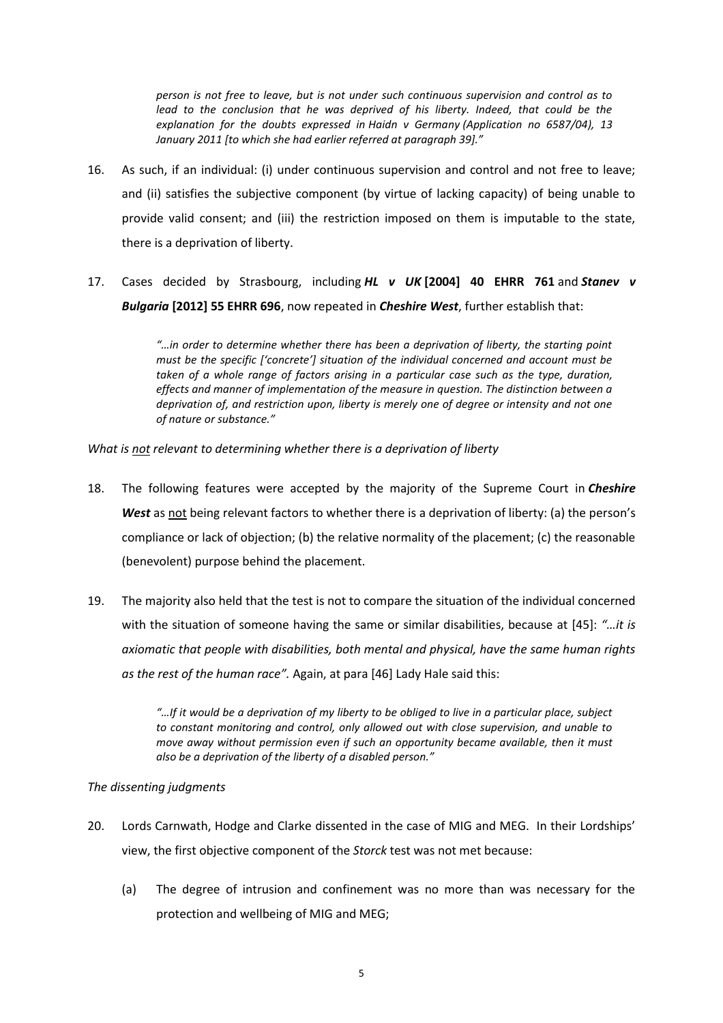*person is not free to leave, but is not under such continuous supervision and control as to*  lead to the conclusion that he was deprived of his liberty. Indeed, that could be the *explanation for the doubts expressed in Haidn v Germany (Application no 6587/04), 13 January 2011 [to which she had earlier referred at paragraph 39]."*

- 16. As such, if an individual: (i) under continuous supervision and control and not free to leave; and (ii) satisfies the subjective component (by virtue of lacking capacity) of being unable to provide valid consent; and (iii) the restriction imposed on them is imputable to the state, there is a deprivation of liberty.
- 17. Cases decided by Strasbourg, including *HL v UK* **[2004] 40 EHRR 761** and *Stanev v Bulgaria* **[2012] 55 EHRR 696**, now repeated in *Cheshire West*, further establish that:

*"…in order to determine whether there has been a deprivation of liberty, the starting point must be the specific ['concrete'] situation of the individual concerned and account must be*  taken of a whole range of factors arising in a particular case such as the type, duration, *effects and manner of implementation of the measure in question. The distinction between a deprivation of, and restriction upon, liberty is merely one of degree or intensity and not one of nature or substance."*

*What is not relevant to determining whether there is a deprivation of liberty*

- 18. The following features were accepted by the majority of the Supreme Court in *Cheshire West* as not being relevant factors to whether there is a deprivation of liberty: (a) the person's compliance or lack of objection; (b) the relative normality of the placement; (c) the reasonable (benevolent) purpose behind the placement.
- 19. The majority also held that the test is not to compare the situation of the individual concerned with the situation of someone having the same or similar disabilities, because at [45]: *"…it is axiomatic that people with disabilities, both mental and physical, have the same human rights as the rest of the human race".* Again, at para [46] Lady Hale said this:

*"…If it would be a deprivation of my liberty to be obliged to live in a particular place, subject to constant monitoring and control, only allowed out with close supervision, and unable to move away without permission even if such an opportunity became available, then it must also be a deprivation of the liberty of a disabled person."*

# *The dissenting judgments*

- 20. Lords Carnwath, Hodge and Clarke dissented in the case of MIG and MEG. In their Lordships' view, the first objective component of the *Storck* test was not met because:
	- (a) The degree of intrusion and confinement was no more than was necessary for the protection and wellbeing of MIG and MEG;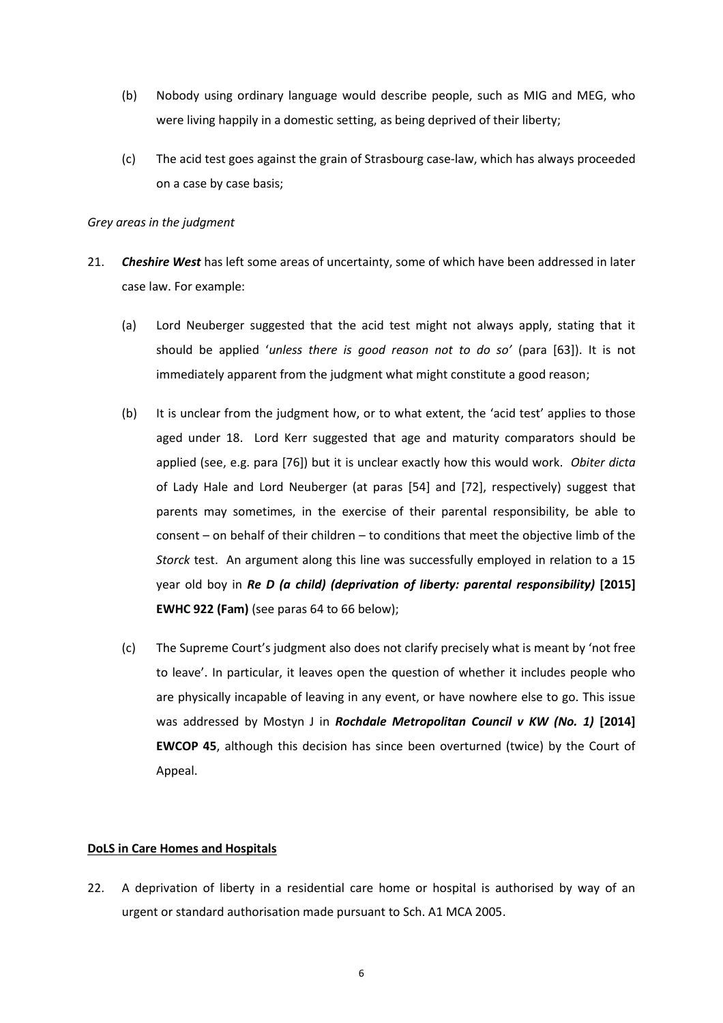- (b) Nobody using ordinary language would describe people, such as MIG and MEG, who were living happily in a domestic setting, as being deprived of their liberty;
- (c) The acid test goes against the grain of Strasbourg case-law, which has always proceeded on a case by case basis;

#### *Grey areas in the judgment*

- 21. *Cheshire West* has left some areas of uncertainty, some of which have been addressed in later case law. For example:
	- (a) Lord Neuberger suggested that the acid test might not always apply, stating that it should be applied '*unless there is good reason not to do so'* (para [63]). It is not immediately apparent from the judgment what might constitute a good reason;
	- (b) It is unclear from the judgment how, or to what extent, the 'acid test' applies to those aged under 18. Lord Kerr suggested that age and maturity comparators should be applied (see, e.g. para [76]) but it is unclear exactly how this would work. *Obiter dicta* of Lady Hale and Lord Neuberger (at paras [54] and [72], respectively) suggest that parents may sometimes, in the exercise of their parental responsibility, be able to consent – on behalf of their children – to conditions that meet the objective limb of the *Storck* test. An argument along this line was successfully employed in relation to a 15 year old boy in *Re D (a child) (deprivation of liberty: parental responsibility)* **[2015] EWHC 922 (Fam)** (see paras 64 to 66 below);
	- (c) The Supreme Court's judgment also does not clarify precisely what is meant by 'not free to leave'. In particular, it leaves open the question of whether it includes people who are physically incapable of leaving in any event, or have nowhere else to go. This issue was addressed by Mostyn J in *Rochdale Metropolitan Council v KW (No. 1)* [2014] **EWCOP 45**, although this decision has since been overturned (twice) by the Court of Appeal.

# **DoLS in Care Homes and Hospitals**

22. A deprivation of liberty in a residential care home or hospital is authorised by way of an urgent or standard authorisation made pursuant to Sch. A1 MCA 2005.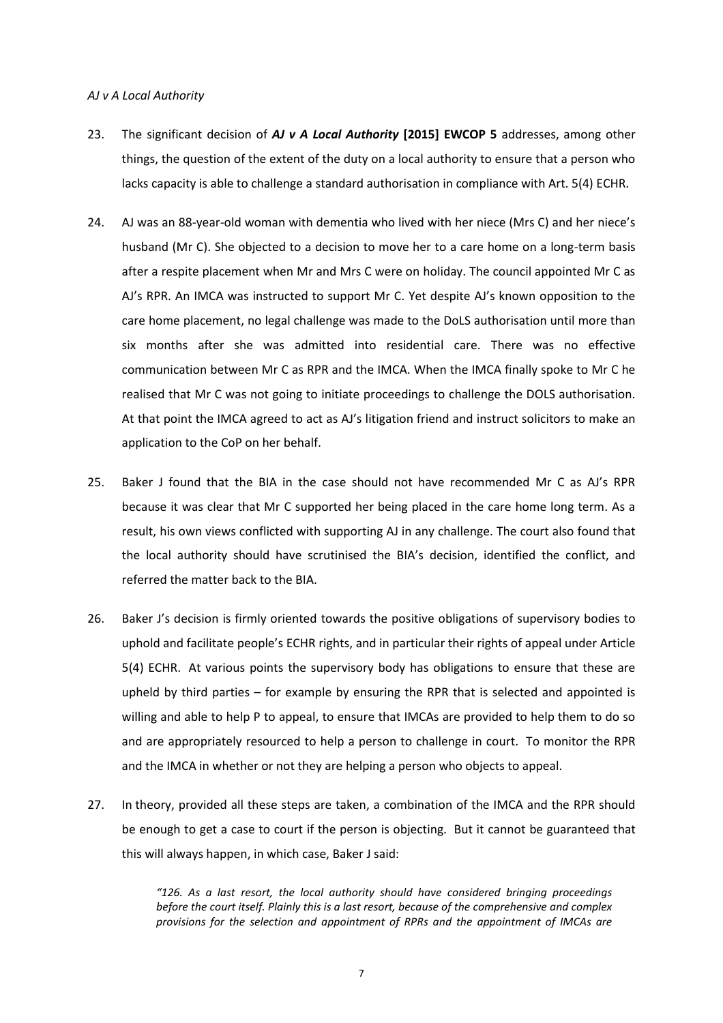#### *AJ v A Local Authority*

- 23. The significant decision of *AJ v A Local Authority* **[2015] EWCOP 5** addresses, among other things, the question of the extent of the duty on a local authority to ensure that a person who lacks capacity is able to challenge a standard authorisation in compliance with Art. 5(4) ECHR.
- 24. AJ was an 88-year-old woman with dementia who lived with her niece (Mrs C) and her niece's husband (Mr C). She objected to a decision to move her to a care home on a long-term basis after a respite placement when Mr and Mrs C were on holiday. The council appointed Mr C as AJ's RPR. An IMCA was instructed to support Mr C. Yet despite AJ's known opposition to the care home placement, no legal challenge was made to the DoLS authorisation until more than six months after she was admitted into residential care. There was no effective communication between Mr C as RPR and the IMCA. When the IMCA finally spoke to Mr C he realised that Mr C was not going to initiate proceedings to challenge the DOLS authorisation. At that point the IMCA agreed to act as AJ's litigation friend and instruct solicitors to make an application to the CoP on her behalf.
- 25. Baker J found that the BIA in the case should not have recommended Mr C as AJ's RPR because it was clear that Mr C supported her being placed in the care home long term. As a result, his own views conflicted with supporting AJ in any challenge. The court also found that the local authority should have scrutinised the BIA's decision, identified the conflict, and referred the matter back to the BIA.
- 26. Baker J's decision is firmly oriented towards the positive obligations of supervisory bodies to uphold and facilitate people's ECHR rights, and in particular their rights of appeal under Article 5(4) ECHR. At various points the supervisory body has obligations to ensure that these are upheld by third parties – for example by ensuring the RPR that is selected and appointed is willing and able to help P to appeal, to ensure that IMCAs are provided to help them to do so and are appropriately resourced to help a person to challenge in court. To monitor the RPR and the IMCA in whether or not they are helping a person who objects to appeal.
- 27. In theory, provided all these steps are taken, a combination of the IMCA and the RPR should be enough to get a case to court if the person is objecting. But it cannot be guaranteed that this will always happen, in which case, Baker J said:

*"126. As a last resort, the local authority should have considered bringing proceedings before the court itself. Plainly this is a last resort, because of the comprehensive and complex provisions for the selection and appointment of RPRs and the appointment of IMCAs are*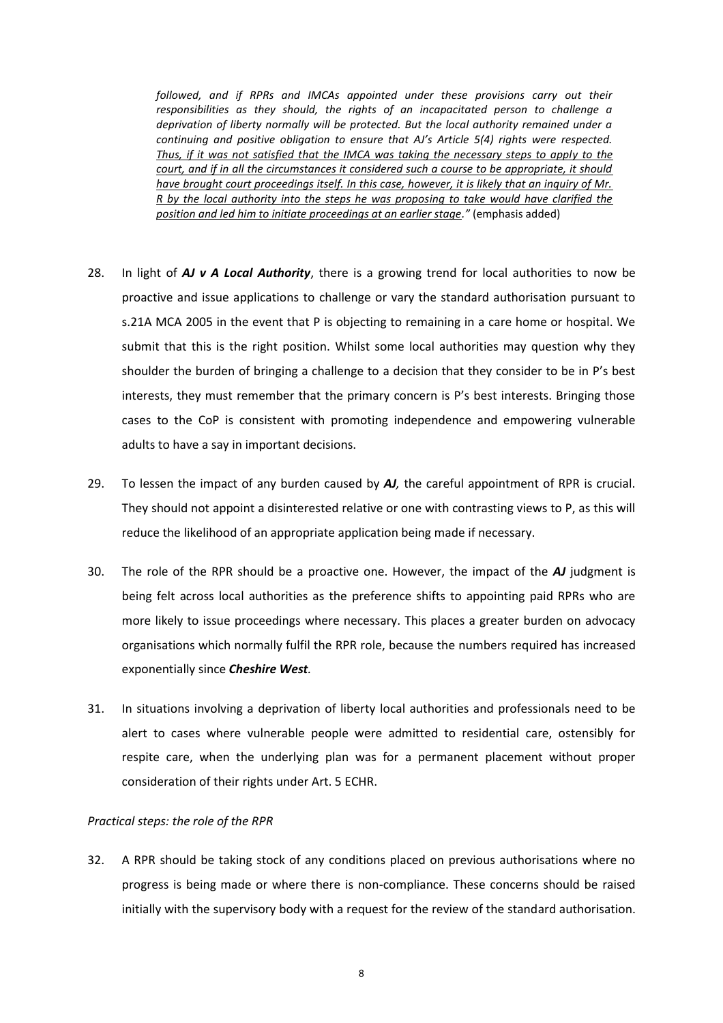*followed, and if RPRs and IMCAs appointed under these provisions carry out their responsibilities as they should, the rights of an incapacitated person to challenge a deprivation of liberty normally will be protected. But the local authority remained under a continuing and positive obligation to ensure that AJ's Article 5(4) rights were respected. Thus, if it was not satisfied that the IMCA was taking the necessary steps to apply to the court, and if in all the circumstances it considered such a course to be appropriate, it should have brought court proceedings itself. In this case, however, it is likely that an inquiry of Mr. R by the local authority into the steps he was proposing to take would have clarified the position and led him to initiate proceedings at an earlier stage."* (emphasis added)

- 28. In light of *AJ v A Local Authority*, there is a growing trend for local authorities to now be proactive and issue applications to challenge or vary the standard authorisation pursuant to s.21A MCA 2005 in the event that P is objecting to remaining in a care home or hospital. We submit that this is the right position. Whilst some local authorities may question why they shoulder the burden of bringing a challenge to a decision that they consider to be in P's best interests, they must remember that the primary concern is P's best interests. Bringing those cases to the CoP is consistent with promoting independence and empowering vulnerable adults to have a say in important decisions.
- 29. To lessen the impact of any burden caused by *AJ,* the careful appointment of RPR is crucial. They should not appoint a disinterested relative or one with contrasting views to P, as this will reduce the likelihood of an appropriate application being made if necessary.
- 30. The role of the RPR should be a proactive one. However, the impact of the *AJ* judgment is being felt across local authorities as the preference shifts to appointing paid RPRs who are more likely to issue proceedings where necessary. This places a greater burden on advocacy organisations which normally fulfil the RPR role, because the numbers required has increased exponentially since *Cheshire West.*
- 31. In situations involving a deprivation of liberty local authorities and professionals need to be alert to cases where vulnerable people were admitted to residential care, ostensibly for respite care, when the underlying plan was for a permanent placement without proper consideration of their rights under Art. 5 ECHR.

#### *Practical steps: the role of the RPR*

32. A RPR should be taking stock of any conditions placed on previous authorisations where no progress is being made or where there is non-compliance. These concerns should be raised initially with the supervisory body with a request for the review of the standard authorisation.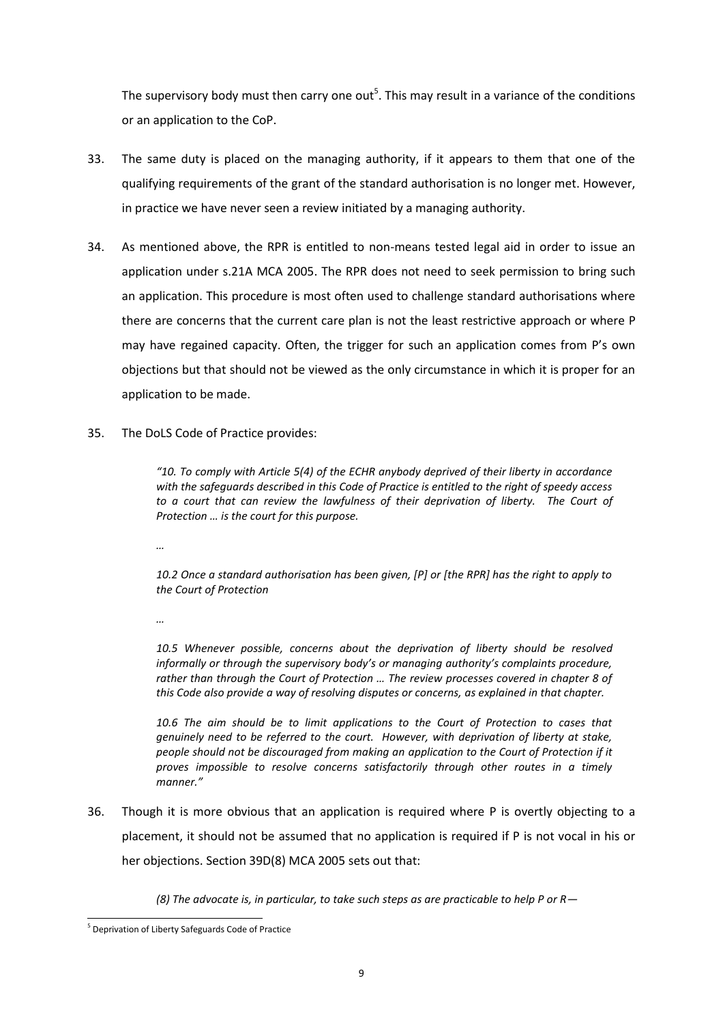The supervisory body must then carry one out<sup>5</sup>. This may result in a variance of the conditions or an application to the CoP.

- 33. The same duty is placed on the managing authority, if it appears to them that one of the qualifying requirements of the grant of the standard authorisation is no longer met. However, in practice we have never seen a review initiated by a managing authority.
- 34. As mentioned above, the RPR is entitled to non-means tested legal aid in order to issue an application under s.21A MCA 2005. The RPR does not need to seek permission to bring such an application. This procedure is most often used to challenge standard authorisations where there are concerns that the current care plan is not the least restrictive approach or where P may have regained capacity. Often, the trigger for such an application comes from P's own objections but that should not be viewed as the only circumstance in which it is proper for an application to be made.
- 35. The DoLS Code of Practice provides:

*"10. To comply with Article 5(4) of the ECHR anybody deprived of their liberty in accordance with the safeguards described in this Code of Practice is entitled to the right of speedy access*  to a court that can review the lawfulness of their deprivation of liberty. The Court of *Protection … is the court for this purpose.*

*…*

*10.2 Once a standard authorisation has been given, [P] or [the RPR] has the right to apply to the Court of Protection*

*…*

*10.5 Whenever possible, concerns about the deprivation of liberty should be resolved informally or through the supervisory body's or managing authority's complaints procedure, rather than through the Court of Protection … The review processes covered in chapter 8 of this Code also provide a way of resolving disputes or concerns, as explained in that chapter.*

*10.6 The aim should be to limit applications to the Court of Protection to cases that genuinely need to be referred to the court. However, with deprivation of liberty at stake, people should not be discouraged from making an application to the Court of Protection if it proves impossible to resolve concerns satisfactorily through other routes in a timely manner."* 

36. Though it is more obvious that an application is required where P is overtly objecting to a placement, it should not be assumed that no application is required if P is not vocal in his or her objections. Section 39D(8) MCA 2005 sets out that:

*(8) The advocate is, in particular, to take such steps as are practicable to help P or R—*

l <sup>5</sup> Deprivation of Liberty Safeguards Code of Practice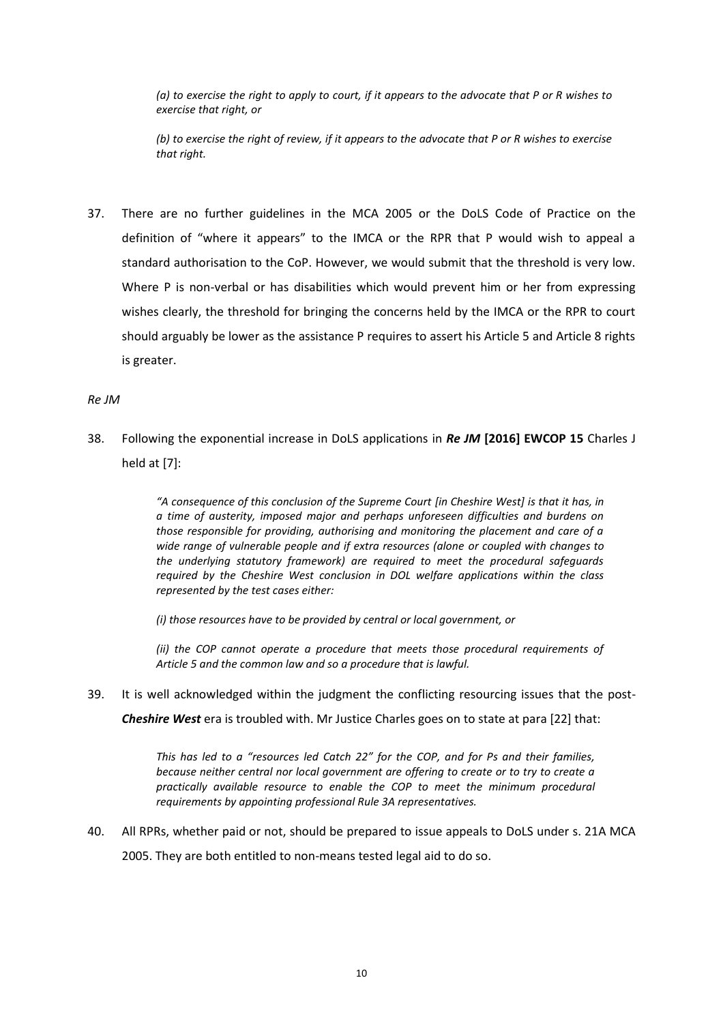*(a) to exercise the right to apply to court, if it appears to the advocate that P or R wishes to exercise that right, or*

*(b) to exercise the right of review, if it appears to the advocate that P or R wishes to exercise that right.*

37. There are no further guidelines in the MCA 2005 or the DoLS Code of Practice on the definition of "where it appears" to the IMCA or the RPR that P would wish to appeal a standard authorisation to the CoP. However, we would submit that the threshold is very low. Where P is non-verbal or has disabilities which would prevent him or her from expressing wishes clearly, the threshold for bringing the concerns held by the IMCA or the RPR to court should arguably be lower as the assistance P requires to assert his Article 5 and Article 8 rights is greater.

#### *Re JM*

38. Following the exponential increase in DoLS applications in *Re JM* **[2016] EWCOP 15** Charles J held at [7]:

> *"A consequence of this conclusion of the Supreme Court [in Cheshire West] is that it has, in a time of austerity, imposed major and perhaps unforeseen difficulties and burdens on those responsible for providing, authorising and monitoring the placement and care of a wide range of vulnerable people and if extra resources (alone or coupled with changes to the underlying statutory framework) are required to meet the procedural safeguards required by the Cheshire West conclusion in DOL welfare applications within the class represented by the test cases either:*

*(i) those resources have to be provided by central or local government, or* 

*(ii) the COP cannot operate a procedure that meets those procedural requirements of Article 5 and the common law and so a procedure that is lawful.* 

39. It is well acknowledged within the judgment the conflicting resourcing issues that the post-

*Cheshire West* era is troubled with. Mr Justice Charles goes on to state at para [22] that:

*This has led to a "resources led Catch 22" for the COP, and for Ps and their families, because neither central nor local government are offering to create or to try to create a practically available resource to enable the COP to meet the minimum procedural requirements by appointing professional Rule 3A representatives.* 

40. All RPRs, whether paid or not, should be prepared to issue appeals to DoLS under s. 21A MCA 2005. They are both entitled to non-means tested legal aid to do so.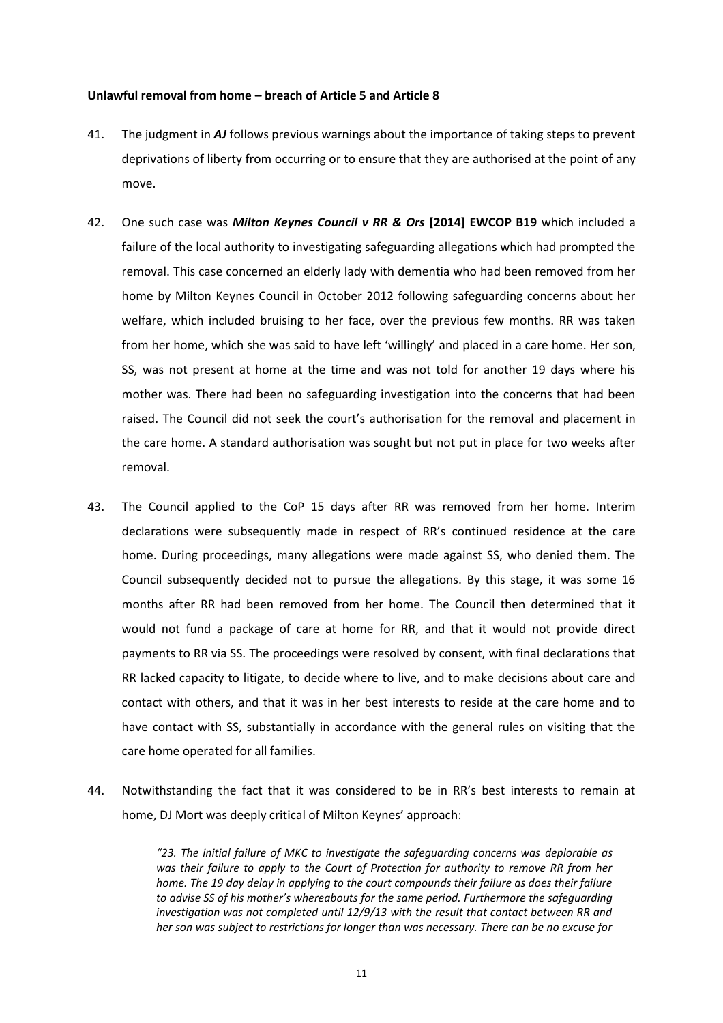#### **Unlawful removal from home – breach of Article 5 and Article 8**

- 41. The judgment in *AJ* follows previous warnings about the importance of taking steps to prevent deprivations of liberty from occurring or to ensure that they are authorised at the point of any move.
- 42. One such case was *Milton Keynes Council v RR & Ors* **[2014] EWCOP B19** which included a failure of the local authority to investigating safeguarding allegations which had prompted the removal. This case concerned an elderly lady with dementia who had been removed from her home by Milton Keynes Council in October 2012 following safeguarding concerns about her welfare, which included bruising to her face, over the previous few months. RR was taken from her home, which she was said to have left 'willingly' and placed in a care home. Her son, SS, was not present at home at the time and was not told for another 19 days where his mother was. There had been no safeguarding investigation into the concerns that had been raised. The Council did not seek the court's authorisation for the removal and placement in the care home. A standard authorisation was sought but not put in place for two weeks after removal.
- 43. The Council applied to the CoP 15 days after RR was removed from her home. Interim declarations were subsequently made in respect of RR's continued residence at the care home. During proceedings, many allegations were made against SS, who denied them. The Council subsequently decided not to pursue the allegations. By this stage, it was some 16 months after RR had been removed from her home. The Council then determined that it would not fund a package of care at home for RR, and that it would not provide direct payments to RR via SS. The proceedings were resolved by consent, with final declarations that RR lacked capacity to litigate, to decide where to live, and to make decisions about care and contact with others, and that it was in her best interests to reside at the care home and to have contact with SS, substantially in accordance with the general rules on visiting that the care home operated for all families.
- 44. Notwithstanding the fact that it was considered to be in RR's best interests to remain at home, DJ Mort was deeply critical of Milton Keynes' approach:

*"23. The initial failure of MKC to investigate the safeguarding concerns was deplorable as was their failure to apply to the Court of Protection for authority to remove RR from her home. The 19 day delay in applying to the court compounds their failure as does their failure to advise SS of his mother's whereabouts for the same period. Furthermore the safeguarding investigation was not completed until 12/9/13 with the result that contact between RR and her son was subject to restrictions for longer than was necessary. There can be no excuse for*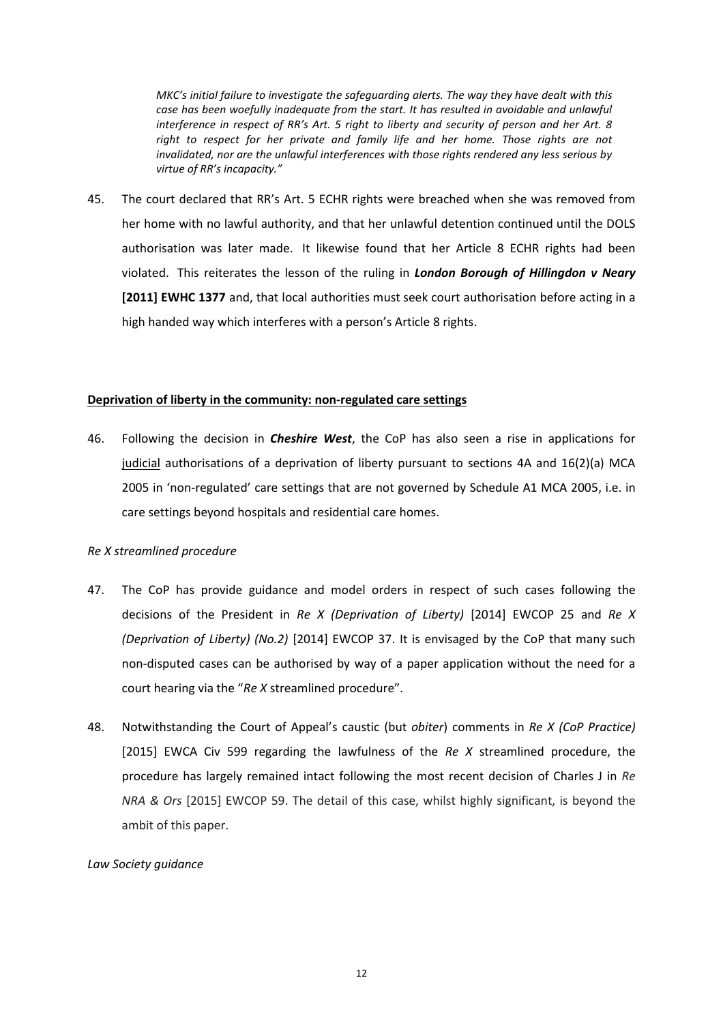*MKC's initial failure to investigate the safeguarding alerts. The way they have dealt with this*  case has been woefully inadequate from the start. It has resulted in avoidable and unlawful *interference in respect of RR's Art. 5 right to liberty and security of person and her Art. 8*  right to respect for her private and family life and her home. Those rights are not *invalidated, nor are the unlawful interferences with those rights rendered any less serious by virtue of RR's incapacity."*

45. The court declared that RR's Art. 5 ECHR rights were breached when she was removed from her home with no lawful authority, and that her unlawful detention continued until the DOLS authorisation was later made. It likewise found that her Article 8 ECHR rights had been violated. This reiterates the lesson of the ruling in *London Borough of Hillingdon v Neary* **[2011] EWHC 1377** and, that local authorities must seek court authorisation before acting in a high handed way which interferes with a person's Article 8 rights.

#### **Deprivation of liberty in the community: non-regulated care settings**

46. Following the decision in *Cheshire West*, the CoP has also seen a rise in applications for judicial authorisations of a deprivation of liberty pursuant to sections 4A and 16(2)(a) MCA 2005 in 'non-regulated' care settings that are not governed by Schedule A1 MCA 2005, i.e. in care settings beyond hospitals and residential care homes.

#### *Re X streamlined procedure*

- 47. The CoP has provide guidance and model orders in respect of such cases following the decisions of the President in *Re X (Deprivation of Liberty)* [2014] EWCOP 25 and *Re X (Deprivation of Liberty) (No.2)* [2014] EWCOP 37. It is envisaged by the CoP that many such non-disputed cases can be authorised by way of a paper application without the need for a court hearing via the "*Re X* streamlined procedure".
- 48. Notwithstanding the Court of Appeal's caustic (but *obiter*) comments in *Re X (CoP Practice)* [2015] EWCA Civ 599 regarding the lawfulness of the *Re X* streamlined procedure, the procedure has largely remained intact following the most recent decision of Charles J in *Re NRA & Ors* [2015] EWCOP 59. The detail of this case, whilst highly significant, is beyond the ambit of this paper.

# *Law Society guidance*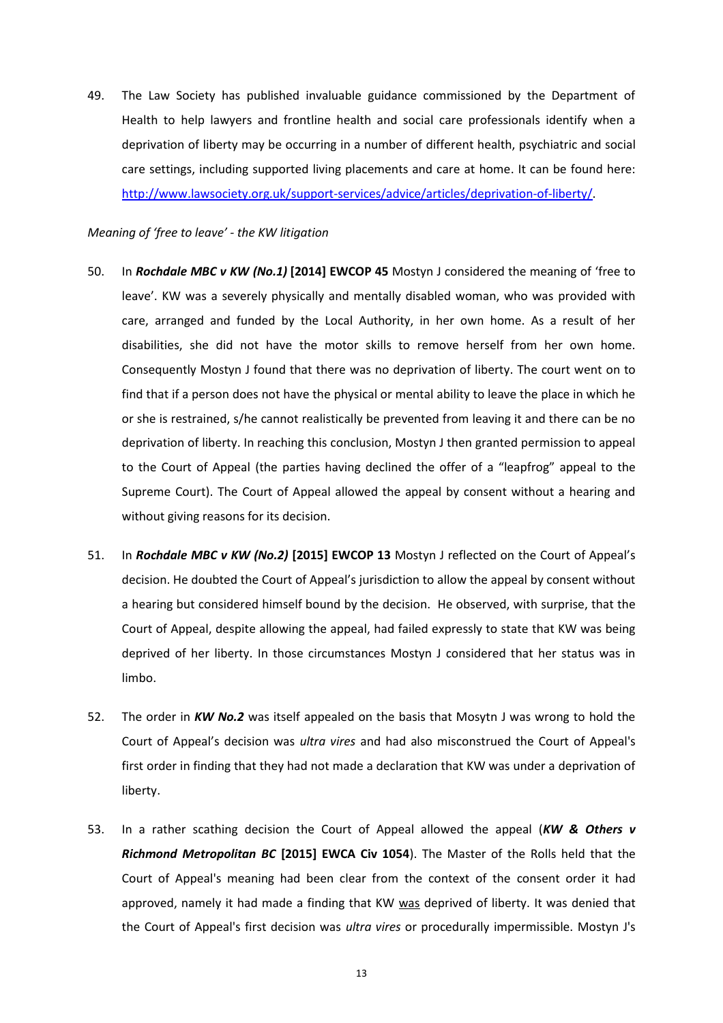49. The Law Society has published invaluable guidance commissioned by the Department of Health to help lawyers and frontline health and social care professionals identify when a deprivation of liberty may be occurring in a number of different health, psychiatric and social care settings, including supported living placements and care at home. It can be found here: [http://www.lawsociety.org.uk/support-services/advice/articles/deprivation-of-liberty/.](http://www.lawsociety.org.uk/support-services/advice/articles/deprivation-of-liberty/)

### *Meaning of 'free to leave' - the KW litigation*

- 50. In *Rochdale MBC v KW (No.1)* **[2014] EWCOP 45** Mostyn J considered the meaning of 'free to leave'. KW was a severely physically and mentally disabled woman, who was provided with care, arranged and funded by the Local Authority, in her own home. As a result of her disabilities, she did not have the motor skills to remove herself from her own home. Consequently Mostyn J found that there was no deprivation of liberty. The court went on to find that if a person does not have the physical or mental ability to leave the place in which he or she is restrained, s/he cannot realistically be prevented from leaving it and there can be no deprivation of liberty. In reaching this conclusion, Mostyn J then granted permission to appeal to the Court of Appeal (the parties having declined the offer of a "leapfrog" appeal to the Supreme Court). The Court of Appeal allowed the appeal by consent without a hearing and without giving reasons for its decision.
- 51. In *Rochdale MBC v KW (No.2)* **[2015] EWCOP 13** Mostyn J reflected on the Court of Appeal's decision. He doubted the Court of Appeal's jurisdiction to allow the appeal by consent without a hearing but considered himself bound by the decision. He observed, with surprise, that the Court of Appeal, despite allowing the appeal, had failed expressly to state that KW was being deprived of her liberty. In those circumstances Mostyn J considered that her status was in limbo.
- 52. The order in *KW No.2* was itself appealed on the basis that Mosytn J was wrong to hold the Court of Appeal's decision was *ultra vires* and had also misconstrued the Court of Appeal's first order in finding that they had not made a declaration that KW was under a deprivation of liberty.
- 53. In a rather scathing decision the Court of Appeal allowed the appeal (*KW & Others v Richmond Metropolitan BC* **[2015] EWCA Civ 1054**). The Master of the Rolls held that the Court of Appeal's meaning had been clear from the context of the consent order it had approved, namely it had made a finding that KW was deprived of liberty. It was denied that the Court of Appeal's first decision was *ultra vires* or procedurally impermissible. Mostyn J's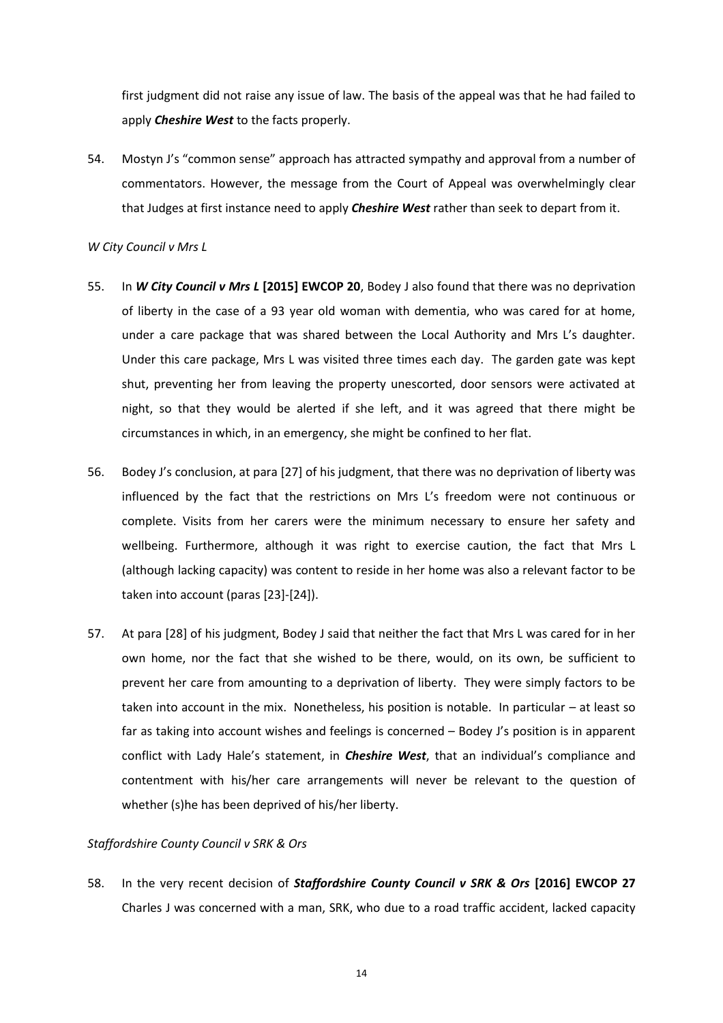first judgment did not raise any issue of law. The basis of the appeal was that he had failed to apply *Cheshire West* to the facts properly.

54. Mostyn J's "common sense" approach has attracted sympathy and approval from a number of commentators. However, the message from the Court of Appeal was overwhelmingly clear that Judges at first instance need to apply *Cheshire West* rather than seek to depart from it.

#### *W City Council v Mrs L*

- 55. In *W City Council v Mrs L* **[2015] EWCOP 20**, Bodey J also found that there was no deprivation of liberty in the case of a 93 year old woman with dementia, who was cared for at home, under a care package that was shared between the Local Authority and Mrs L's daughter. Under this care package, Mrs L was visited three times each day. The garden gate was kept shut, preventing her from leaving the property unescorted, door sensors were activated at night, so that they would be alerted if she left, and it was agreed that there might be circumstances in which, in an emergency, she might be confined to her flat.
- 56. Bodey J's conclusion, at para [27] of his judgment, that there was no deprivation of liberty was influenced by the fact that the restrictions on Mrs L's freedom were not continuous or complete. Visits from her carers were the minimum necessary to ensure her safety and wellbeing. Furthermore, although it was right to exercise caution, the fact that Mrs L (although lacking capacity) was content to reside in her home was also a relevant factor to be taken into account (paras [23]-[24]).
- 57. At para [28] of his judgment, Bodey J said that neither the fact that Mrs L was cared for in her own home, nor the fact that she wished to be there, would, on its own, be sufficient to prevent her care from amounting to a deprivation of liberty. They were simply factors to be taken into account in the mix. Nonetheless, his position is notable. In particular – at least so far as taking into account wishes and feelings is concerned – Bodey J's position is in apparent conflict with Lady Hale's statement, in *Cheshire West*, that an individual's compliance and contentment with his/her care arrangements will never be relevant to the question of whether (s)he has been deprived of his/her liberty.

#### *Staffordshire County Council v SRK & Ors*

58. In the very recent decision of *Staffordshire County Council v SRK & Ors* **[2016] EWCOP 27** Charles J was concerned with a man, SRK, who due to a road traffic accident, lacked capacity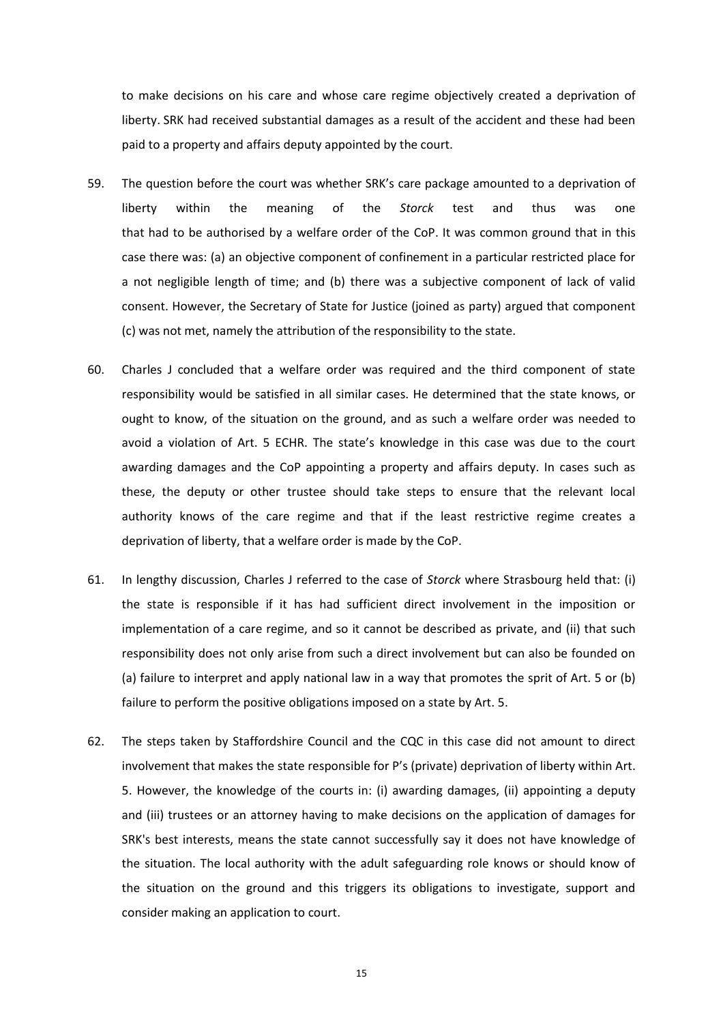to make decisions on his care and whose care regime objectively created a deprivation of liberty. SRK had received substantial damages as a result of the accident and these had been paid to a property and affairs deputy appointed by the court.

- 59. The question before the court was whether SRK's care package amounted to a deprivation of liberty within the meaning of the *Storck* test and thus was one that had to be authorised by a welfare order of the CoP. It was common ground that in this case there was: (a) an objective component of confinement in a particular restricted place for a not negligible length of time; and (b) there was a subjective component of lack of valid consent. However, the Secretary of State for Justice (joined as party) argued that component (c) was not met, namely the attribution of the responsibility to the state.
- 60. Charles J concluded that a welfare order was required and the third component of state responsibility would be satisfied in all similar cases. He determined that the state knows, or ought to know, of the situation on the ground, and as such a welfare order was needed to avoid a violation of Art. 5 ECHR. The state's knowledge in this case was due to the court awarding damages and the CoP appointing a property and affairs deputy. In cases such as these, the deputy or other trustee should take steps to ensure that the relevant local authority knows of the care regime and that if the least restrictive regime creates a deprivation of liberty, that a welfare order is made by the CoP.
- 61. In lengthy discussion, Charles J referred to the case of *Storck* where Strasbourg held that: (i) the state is responsible if it has had sufficient direct involvement in the imposition or implementation of a care regime, and so it cannot be described as private, and (ii) that such responsibility does not only arise from such a direct involvement but can also be founded on (a) failure to interpret and apply national law in a way that promotes the sprit of Art. 5 or (b) failure to perform the positive obligations imposed on a state by Art. 5.
- 62. The steps taken by Staffordshire Council and the CQC in this case did not amount to direct involvement that makes the state responsible for P's (private) deprivation of liberty within Art. 5. However, the knowledge of the courts in: (i) awarding damages, (ii) appointing a deputy and (iii) trustees or an attorney having to make decisions on the application of damages for SRK's best interests, means the state cannot successfully say it does not have knowledge of the situation. The local authority with the adult safeguarding role knows or should know of the situation on the ground and this triggers its obligations to investigate, support and consider making an application to court.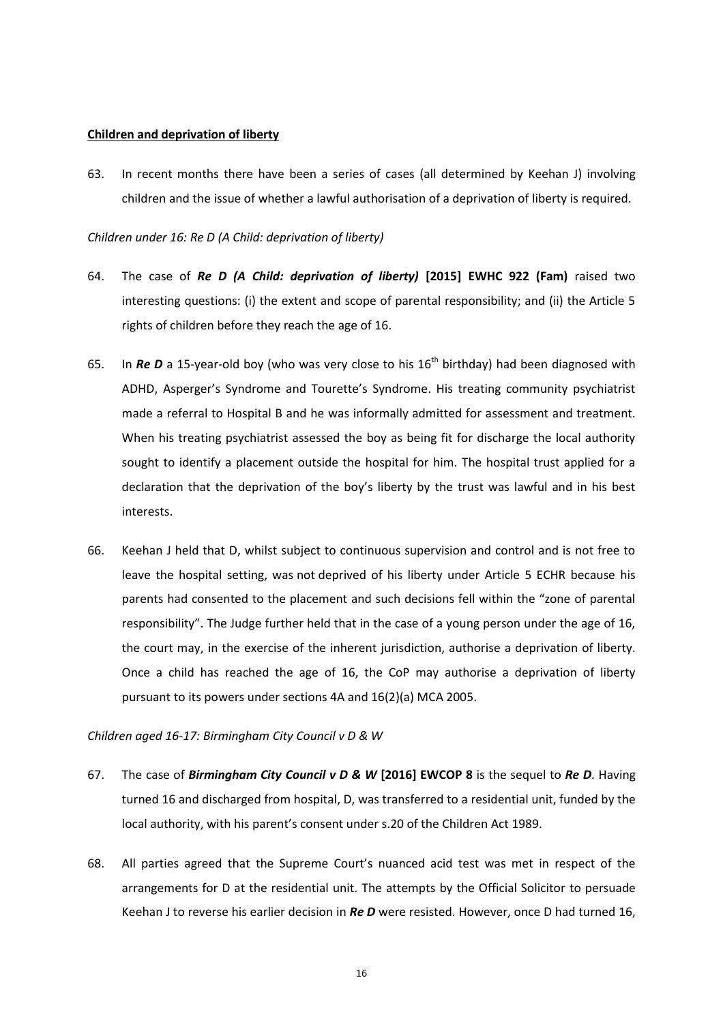#### **Children and deprivation of liberty**

63. In recent months there have been a series of cases (all determined by Keehan J) involving children and the issue of whether a lawful authorisation of a deprivation of liberty is required.

#### *Children under 16: Re D (A Child: deprivation of liberty)*

- 64. The case of *Re D (A Child: deprivation of liberty)* **[2015] EWHC 922 (Fam)** raised two interesting questions: (i) the extent and scope of parental responsibility; and (ii) the Article 5 rights of children before they reach the age of 16.
- 65. In *Re D* a 15-year-old boy (who was very close to his 16<sup>th</sup> birthday) had been diagnosed with ADHD, Asperger's Syndrome and Tourette's Syndrome. His treating community psychiatrist made a referral to Hospital B and he was informally admitted for assessment and treatment. When his treating psychiatrist assessed the boy as being fit for discharge the local authority sought to identify a placement outside the hospital for him. The hospital trust applied for a declaration that the deprivation of the boy's liberty by the trust was lawful and in his best interests.
- 66. Keehan J held that D, whilst subject to continuous supervision and control and is not free to leave the hospital setting, was not deprived of his liberty under Article 5 ECHR because his parents had consented to the placement and such decisions fell within the "zone of parental responsibility". The Judge further held that in the case of a young person under the age of 16, the court may, in the exercise of the inherent jurisdiction, authorise a deprivation of liberty. Once a child has reached the age of 16, the CoP may authorise a deprivation of liberty pursuant to its powers under sections 4A and 16(2)(a) MCA 2005.

# *Children aged 16-17: Birmingham City Council v D & W*

- 67. The case of *Birmingham City Council v D & W* **[2016] EWCOP 8** is the sequel to *Re D*. Having turned 16 and discharged from hospital, D, was transferred to a residential unit, funded by the local authority, with his parent's consent under s.20 of the Children Act 1989.
- 68. All parties agreed that the Supreme Court's nuanced acid test was met in respect of the arrangements for D at the residential unit. The attempts by the Official Solicitor to persuade Keehan J to reverse his earlier decision in *Re D* were resisted. However, once D had turned 16,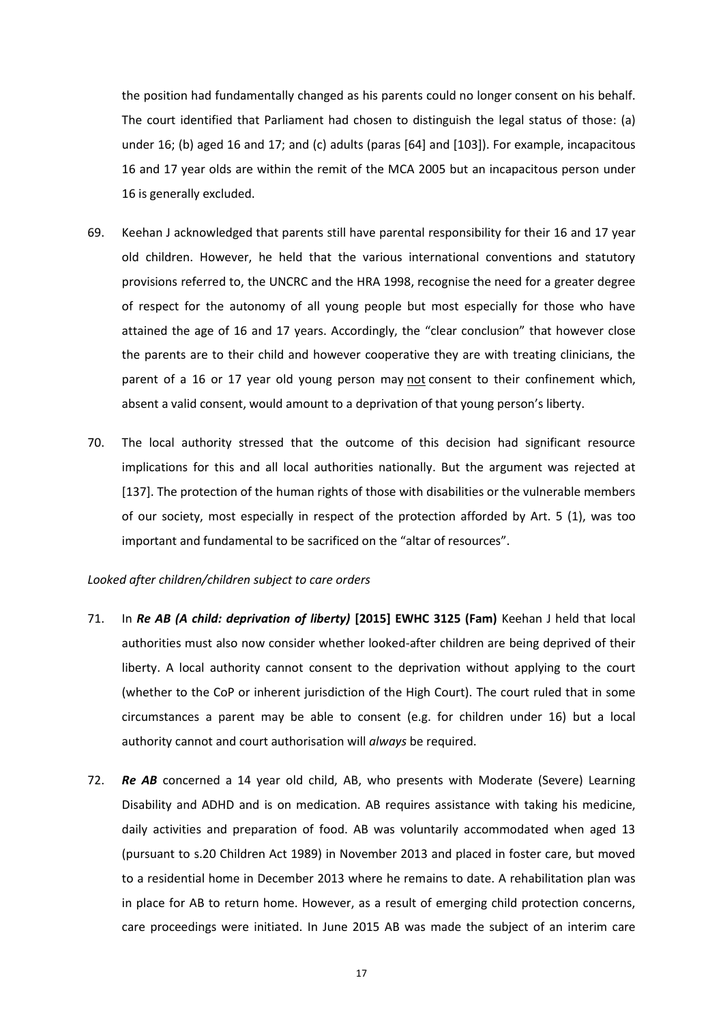the position had fundamentally changed as his parents could no longer consent on his behalf. The court identified that Parliament had chosen to distinguish the legal status of those: (a) under 16; (b) aged 16 and 17; and (c) adults (paras [64] and [103]). For example, incapacitous 16 and 17 year olds are within the remit of the MCA 2005 but an incapacitous person under 16 is generally excluded.

- 69. Keehan J acknowledged that parents still have parental responsibility for their 16 and 17 year old children. However, he held that the various international conventions and statutory provisions referred to, the UNCRC and the HRA 1998, recognise the need for a greater degree of respect for the autonomy of all young people but most especially for those who have attained the age of 16 and 17 years. Accordingly, the "clear conclusion" that however close the parents are to their child and however cooperative they are with treating clinicians, the parent of a 16 or 17 year old young person may not consent to their confinement which, absent a valid consent, would amount to a deprivation of that young person's liberty.
- 70. The local authority stressed that the outcome of this decision had significant resource implications for this and all local authorities nationally. But the argument was rejected at [137]. The protection of the human rights of those with disabilities or the vulnerable members of our society, most especially in respect of the protection afforded by Art. 5 (1), was too important and fundamental to be sacrificed on the "altar of resources".

#### *Looked after children/children subject to care orders*

- 71. In *Re AB (A child: deprivation of liberty)* **[2015] EWHC 3125 (Fam)** Keehan J held that local authorities must also now consider whether looked-after children are being deprived of their liberty. A local authority cannot consent to the deprivation without applying to the court (whether to the CoP or inherent jurisdiction of the High Court). The court ruled that in some circumstances a parent may be able to consent (e.g. for children under 16) but a local authority cannot and court authorisation will *always* be required.
- 72. *Re AB* concerned a 14 year old child, AB, who presents with Moderate (Severe) Learning Disability and ADHD and is on medication. AB requires assistance with taking his medicine, daily activities and preparation of food. AB was voluntarily accommodated when aged 13 (pursuant to s.20 Children Act 1989) in November 2013 and placed in foster care, but moved to a residential home in December 2013 where he remains to date. A rehabilitation plan was in place for AB to return home. However, as a result of emerging child protection concerns, care proceedings were initiated. In June 2015 AB was made the subject of an interim care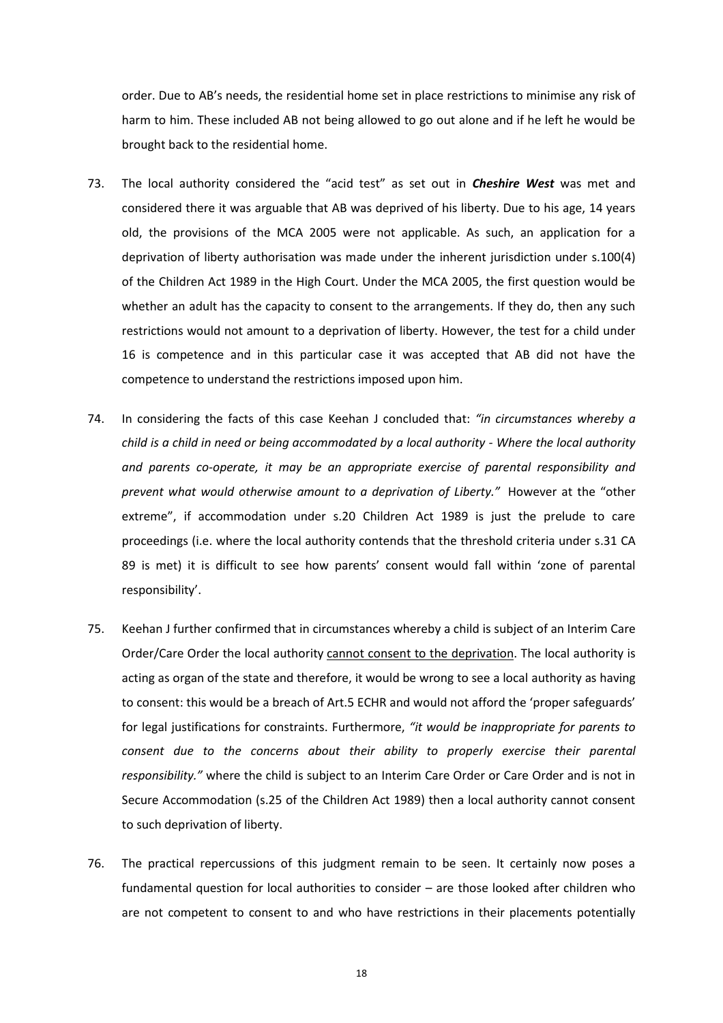order. Due to AB's needs, the residential home set in place restrictions to minimise any risk of harm to him. These included AB not being allowed to go out alone and if he left he would be brought back to the residential home.

- 73. The local authority considered the "acid test" as set out in *Cheshire West* was met and considered there it was arguable that AB was deprived of his liberty. Due to his age, 14 years old, the provisions of the MCA 2005 were not applicable. As such, an application for a deprivation of liberty authorisation was made under the inherent jurisdiction under s.100(4) of the Children Act 1989 in the High Court. Under the MCA 2005, the first question would be whether an adult has the capacity to consent to the arrangements. If they do, then any such restrictions would not amount to a deprivation of liberty. However, the test for a child under 16 is competence and in this particular case it was accepted that AB did not have the competence to understand the restrictions imposed upon him.
- 74. In considering the facts of this case Keehan J concluded that: *"in circumstances whereby a child is a child in need or being accommodated by a local authority - Where the local authority and parents co-operate, it may be an appropriate exercise of parental responsibility and prevent what would otherwise amount to a deprivation of Liberty."* However at the "other extreme", if accommodation under s.20 Children Act 1989 is just the prelude to care proceedings (i.e. where the local authority contends that the threshold criteria under s.31 CA 89 is met) it is difficult to see how parents' consent would fall within 'zone of parental responsibility'.
- 75. Keehan J further confirmed that in circumstances whereby a child is subject of an Interim Care Order/Care Order the local authority cannot consent to the deprivation. The local authority is acting as organ of the state and therefore, it would be wrong to see a local authority as having to consent: this would be a breach of Art.5 ECHR and would not afford the 'proper safeguards' for legal justifications for constraints. Furthermore, *"it would be inappropriate for parents to consent due to the concerns about their ability to properly exercise their parental responsibility."* where the child is subject to an Interim Care Order or Care Order and is not in Secure Accommodation (s.25 of the Children Act 1989) then a local authority cannot consent to such deprivation of liberty.
- 76. The practical repercussions of this judgment remain to be seen. It certainly now poses a fundamental question for local authorities to consider – are those looked after children who are not competent to consent to and who have restrictions in their placements potentially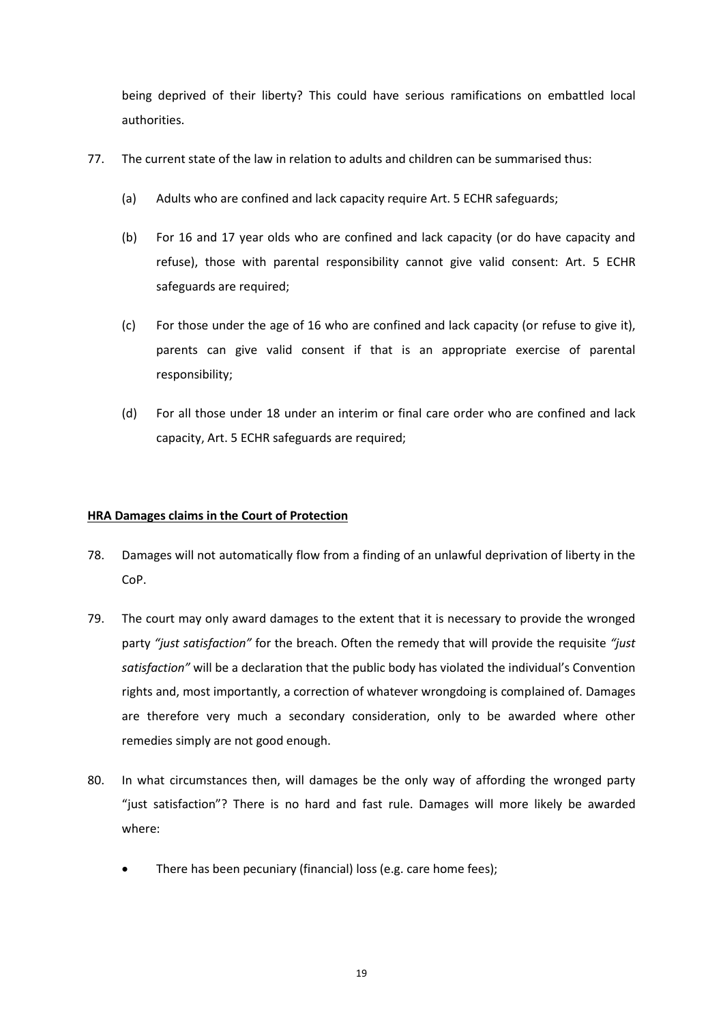being deprived of their liberty? This could have serious ramifications on embattled local authorities.

- 77. The current state of the law in relation to adults and children can be summarised thus:
	- (a) Adults who are confined and lack capacity require Art. 5 ECHR safeguards;
	- (b) For 16 and 17 year olds who are confined and lack capacity (or do have capacity and refuse), those with parental responsibility cannot give valid consent: Art. 5 ECHR safeguards are required;
	- (c) For those under the age of 16 who are confined and lack capacity (or refuse to give it), parents can give valid consent if that is an appropriate exercise of parental responsibility;
	- (d) For all those under 18 under an interim or final care order who are confined and lack capacity, Art. 5 ECHR safeguards are required;

# **HRA Damages claims in the Court of Protection**

- 78. Damages will not automatically flow from a finding of an unlawful deprivation of liberty in the CoP.
- 79. The court may only award damages to the extent that it is necessary to provide the wronged party *"just satisfaction"* for the breach. Often the remedy that will provide the requisite *"just satisfaction"* will be a declaration that the public body has violated the individual's Convention rights and, most importantly, a correction of whatever wrongdoing is complained of. Damages are therefore very much a secondary consideration, only to be awarded where other remedies simply are not good enough.
- 80. In what circumstances then, will damages be the only way of affording the wronged party "just satisfaction"? There is no hard and fast rule. Damages will more likely be awarded where:
	- There has been pecuniary (financial) loss (e.g. care home fees);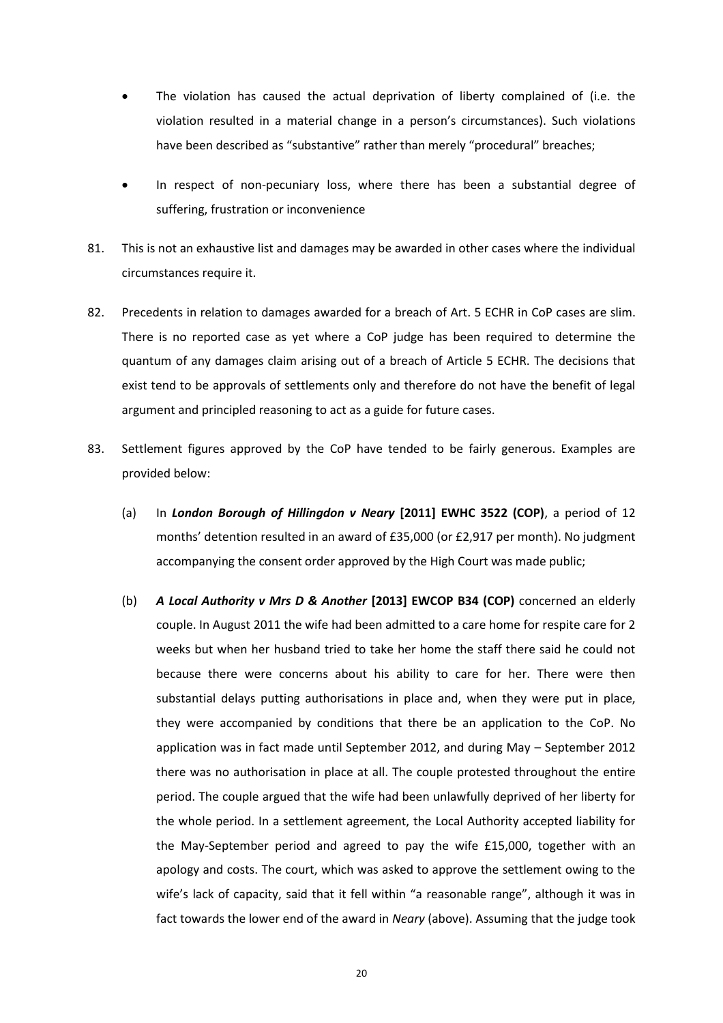- The violation has caused the actual deprivation of liberty complained of (i.e. the violation resulted in a material change in a person's circumstances). Such violations have been described as "substantive" rather than merely "procedural" breaches;
- In respect of non-pecuniary loss, where there has been a substantial degree of suffering, frustration or inconvenience
- 81. This is not an exhaustive list and damages may be awarded in other cases where the individual circumstances require it.
- 82. Precedents in relation to damages awarded for a breach of Art. 5 ECHR in CoP cases are slim. There is no reported case as yet where a CoP judge has been required to determine the quantum of any damages claim arising out of a breach of Article 5 ECHR. The decisions that exist tend to be approvals of settlements only and therefore do not have the benefit of legal argument and principled reasoning to act as a guide for future cases.
- 83. Settlement figures approved by the CoP have tended to be fairly generous. Examples are provided below:
	- (a) In *London Borough of Hillingdon v Neary* **[2011] EWHC 3522 (COP)**, a period of 12 months' detention resulted in an award of £35,000 (or £2,917 per month). No judgment accompanying the consent order approved by the High Court was made public;
	- (b) *A Local Authority v Mrs D & Another* **[2013] EWCOP B34 (COP)** concerned an elderly couple. In August 2011 the wife had been admitted to a care home for respite care for 2 weeks but when her husband tried to take her home the staff there said he could not because there were concerns about his ability to care for her. There were then substantial delays putting authorisations in place and, when they were put in place, they were accompanied by conditions that there be an application to the CoP. No application was in fact made until September 2012, and during May – September 2012 there was no authorisation in place at all. The couple protested throughout the entire period. The couple argued that the wife had been unlawfully deprived of her liberty for the whole period. In a settlement agreement, the Local Authority accepted liability for the May-September period and agreed to pay the wife £15,000, together with an apology and costs. The court, which was asked to approve the settlement owing to the wife's lack of capacity, said that it fell within "a reasonable range", although it was in fact towards the lower end of the award in *Neary* (above). Assuming that the judge took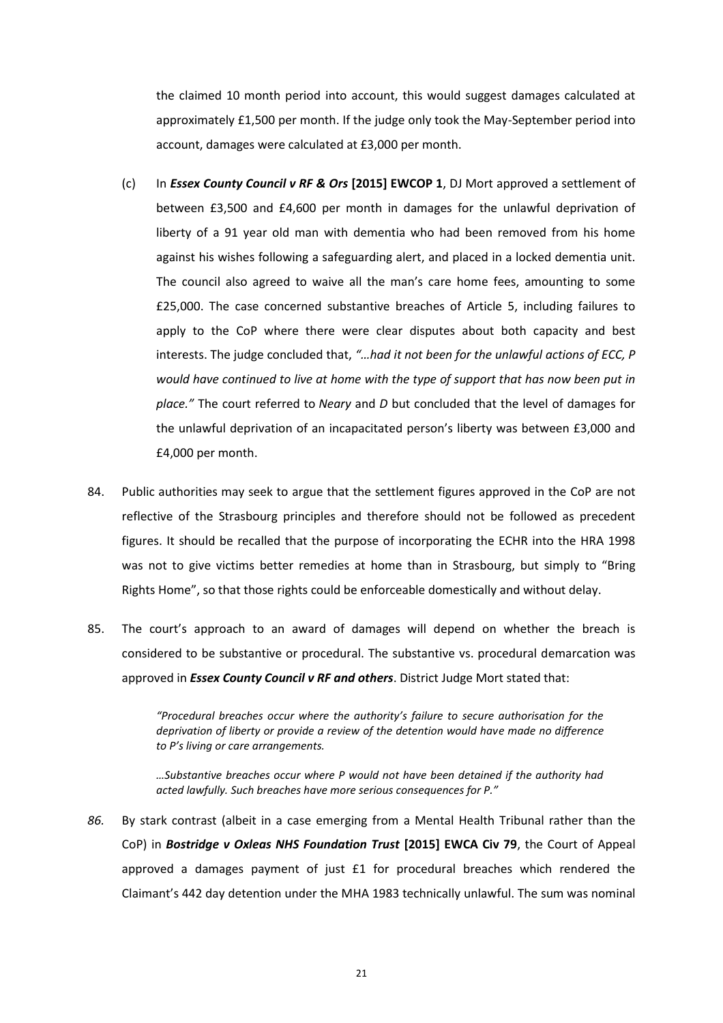the claimed 10 month period into account, this would suggest damages calculated at approximately £1,500 per month. If the judge only took the May-September period into account, damages were calculated at £3,000 per month.

- (c) In *Essex County Council v RF & Ors* **[2015] EWCOP 1**, DJ Mort approved a settlement of between £3,500 and £4,600 per month in damages for the unlawful deprivation of liberty of a 91 year old man with dementia who had been removed from his home against his wishes following a safeguarding alert, and placed in a locked dementia unit. The council also agreed to waive all the man's care home fees, amounting to some £25,000. The case concerned substantive breaches of Article 5, including failures to apply to the CoP where there were clear disputes about both capacity and best interests. The judge concluded that, *"…had it not been for the unlawful actions of ECC, P would have continued to live at home with the type of support that has now been put in place."* The court referred to *Neary* and *D* but concluded that the level of damages for the unlawful deprivation of an incapacitated person's liberty was between £3,000 and £4,000 per month.
- 84. Public authorities may seek to argue that the settlement figures approved in the CoP are not reflective of the Strasbourg principles and therefore should not be followed as precedent figures. It should be recalled that the purpose of incorporating the ECHR into the HRA 1998 was not to give victims better remedies at home than in Strasbourg, but simply to "Bring Rights Home", so that those rights could be enforceable domestically and without delay.
- 85. The court's approach to an award of damages will depend on whether the breach is considered to be substantive or procedural. The substantive vs. procedural demarcation was approved in *Essex County Council v RF and others*. District Judge Mort stated that:

*"Procedural breaches occur where the authority's failure to secure authorisation for the deprivation of liberty or provide a review of the detention would have made no difference to P's living or care arrangements.*

*…Substantive breaches occur where P would not have been detained if the authority had acted lawfully. Such breaches have more serious consequences for P."*

*86.* By stark contrast (albeit in a case emerging from a Mental Health Tribunal rather than the CoP) in *Bostridge v Oxleas NHS Foundation Trust* **[2015] EWCA Civ 79**, the Court of Appeal approved a damages payment of just £1 for procedural breaches which rendered the Claimant's 442 day detention under the MHA 1983 technically unlawful. The sum was nominal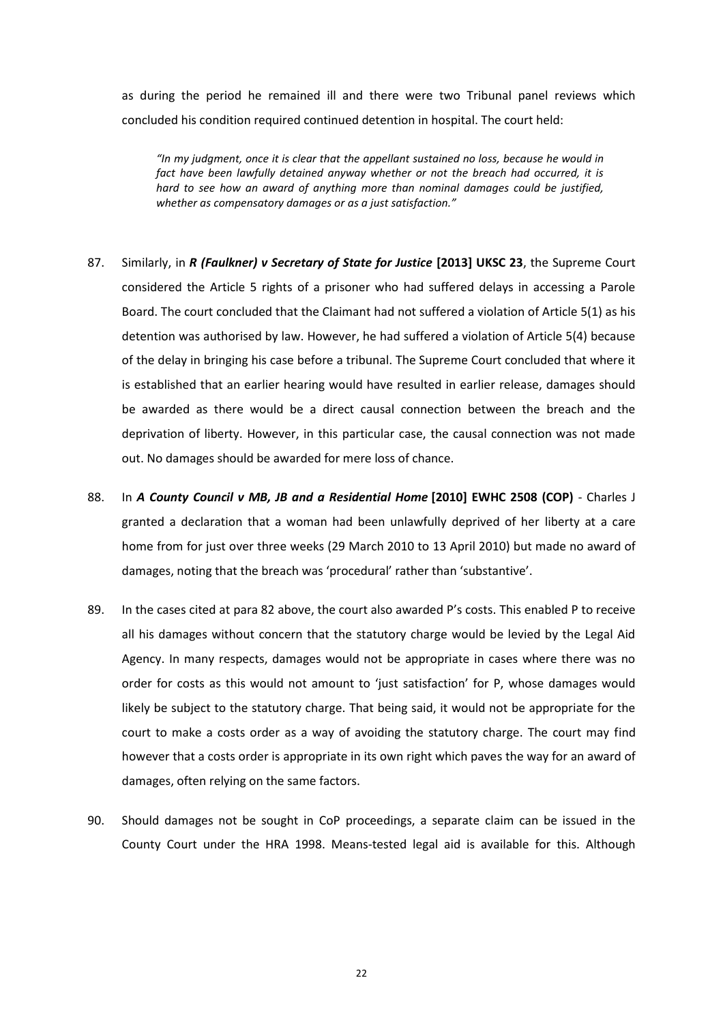as during the period he remained ill and there were two Tribunal panel reviews which concluded his condition required continued detention in hospital. The court held:

*"In my judgment, once it is clear that the appellant sustained no loss, because he would in fact have been lawfully detained anyway whether or not the breach had occurred, it is hard to see how an award of anything more than nominal damages could be justified, whether as compensatory damages or as a just satisfaction."*

- 87. Similarly, in *R (Faulkner) v Secretary of State for Justice* **[2013] UKSC 23**, the Supreme Court considered the Article 5 rights of a prisoner who had suffered delays in accessing a Parole Board. The court concluded that the Claimant had not suffered a violation of Article 5(1) as his detention was authorised by law. However, he had suffered a violation of Article 5(4) because of the delay in bringing his case before a tribunal. The Supreme Court concluded that where it is established that an earlier hearing would have resulted in earlier release, damages should be awarded as there would be a direct causal connection between the breach and the deprivation of liberty. However, in this particular case, the causal connection was not made out. No damages should be awarded for mere loss of chance.
- 88. In *A County Council v MB, JB and a Residential Home* **[2010] EWHC 2508 (COP)** Charles J granted a declaration that a woman had been unlawfully deprived of her liberty at a care home from for just over three weeks (29 March 2010 to 13 April 2010) but made no award of damages, noting that the breach was 'procedural' rather than 'substantive'.
- 89. In the cases cited at para 82 above, the court also awarded P's costs. This enabled P to receive all his damages without concern that the statutory charge would be levied by the Legal Aid Agency. In many respects, damages would not be appropriate in cases where there was no order for costs as this would not amount to 'just satisfaction' for P, whose damages would likely be subject to the statutory charge. That being said, it would not be appropriate for the court to make a costs order as a way of avoiding the statutory charge. The court may find however that a costs order is appropriate in its own right which paves the way for an award of damages, often relying on the same factors.
- 90. Should damages not be sought in CoP proceedings, a separate claim can be issued in the County Court under the HRA 1998. Means-tested legal aid is available for this. Although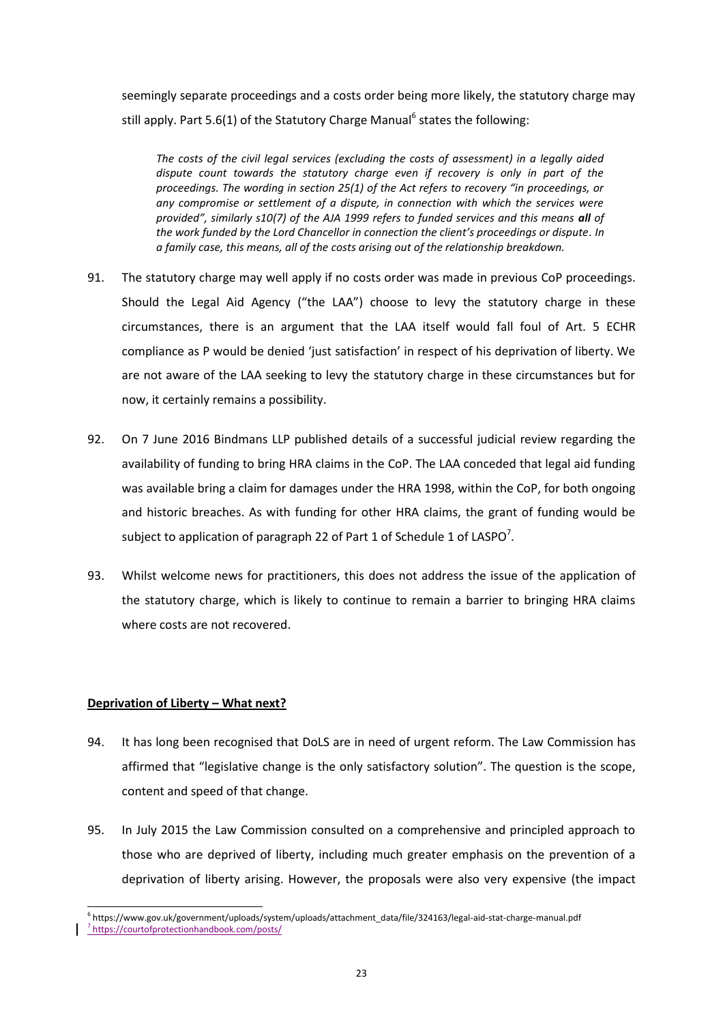seemingly separate proceedings and a costs order being more likely, the statutory charge may still apply. Part 5.6(1) of the Statutory Charge Manual<sup>6</sup> states the following:

*The costs of the civil legal services (excluding the costs of assessment) in a legally aided dispute count towards the statutory charge even if recovery is only in part of the proceedings. The wording in section 25(1) of the Act refers to recovery "in proceedings, or any compromise or settlement of a dispute, in connection with which the services were provided", similarly s10(7) of the AJA 1999 refers to funded services and this means all of the work funded by the Lord Chancellor in connection the client's proceedings or dispute. In a family case, this means, all of the costs arising out of the relationship breakdown.*

- 91. The statutory charge may well apply if no costs order was made in previous CoP proceedings. Should the Legal Aid Agency ("the LAA") choose to levy the statutory charge in these circumstances, there is an argument that the LAA itself would fall foul of Art. 5 ECHR compliance as P would be denied 'just satisfaction' in respect of his deprivation of liberty. We are not aware of the LAA seeking to levy the statutory charge in these circumstances but for now, it certainly remains a possibility.
- 92. On 7 June 2016 Bindmans LLP published details of a successful judicial review regarding the availability of funding to bring HRA claims in the CoP. The LAA conceded that legal aid funding was available bring a claim for damages under the HRA 1998, within the CoP, for both ongoing and historic breaches. As with funding for other HRA claims, the grant of funding would be subject to application of paragraph 22 of Part 1 of Schedule 1 of LASPO<sup>7</sup>.
- 93. Whilst welcome news for practitioners, this does not address the issue of the application of the statutory charge, which is likely to continue to remain a barrier to bringing HRA claims where costs are not recovered.

# **Deprivation of Liberty – What next?**

l

- 94. It has long been recognised that DoLS are in need of urgent reform. The Law Commission has affirmed that "legislative change is the only satisfactory solution". The question is the scope, content and speed of that change.
- 95. In July 2015 the Law Commission consulted on a comprehensive and principled approach to those who are deprived of liberty, including much greater emphasis on the prevention of a deprivation of liberty arising. However, the proposals were also very expensive (the impact

<sup>&</sup>lt;sup>6</sup>https://www.gov.uk/government/uploads/system/uploads/attachment\_data/file/324163/legal-aid-stat-charge-manual.pdf 7 https://courtofprotectionhandbook.com/posts/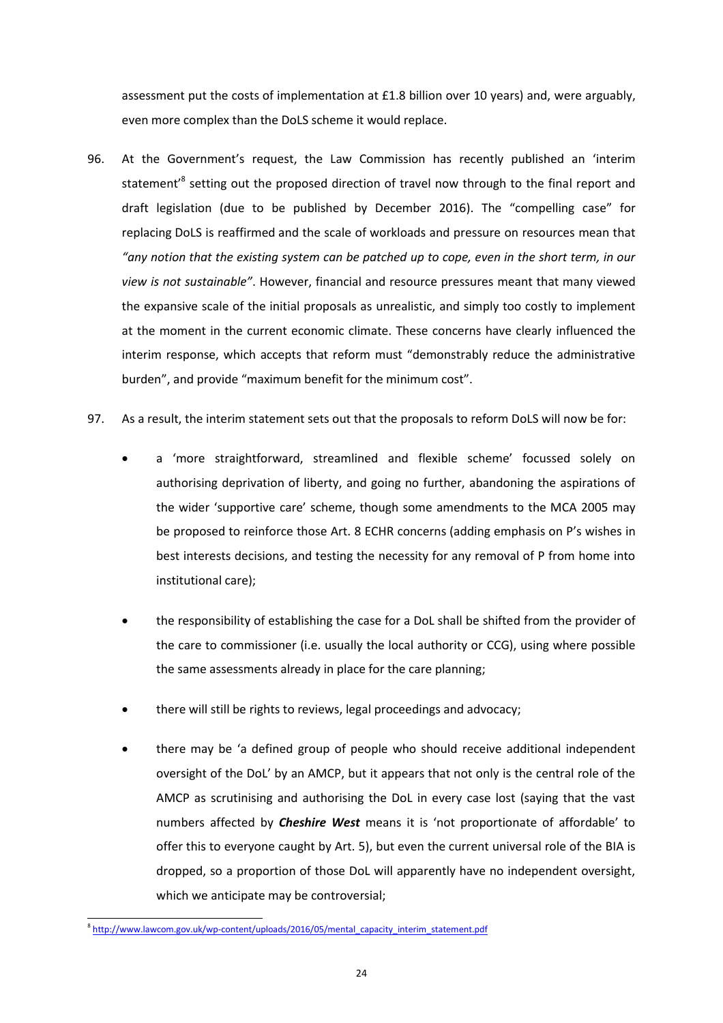assessment put the costs of implementation at £1.8 billion over 10 years) and, were arguably, even more complex than the DoLS scheme it would replace.

- 96. At the Government's request, the Law Commission has recently published an 'interim statement<sup>'8</sup> setting out the proposed direction of travel now through to the final report and draft legislation (due to be published by December 2016). The "compelling case" for replacing DoLS is reaffirmed and the scale of workloads and pressure on resources mean that *"any notion that the existing system can be patched up to cope, even in the short term, in our view is not sustainable"*. However, financial and resource pressures meant that many viewed the expansive scale of the initial proposals as unrealistic, and simply too costly to implement at the moment in the current economic climate. These concerns have clearly influenced the interim response, which accepts that reform must "demonstrably reduce the administrative burden", and provide "maximum benefit for the minimum cost".
- 97. As a result, the interim statement sets out that the proposals to reform DoLS will now be for:
	- a 'more straightforward, streamlined and flexible scheme' focussed solely on authorising deprivation of liberty, and going no further, abandoning the aspirations of the wider 'supportive care' scheme, though some amendments to the MCA 2005 may be proposed to reinforce those Art. 8 ECHR concerns (adding emphasis on P's wishes in best interests decisions, and testing the necessity for any removal of P from home into institutional care);
	- the responsibility of establishing the case for a DoL shall be shifted from the provider of the care to commissioner (i.e. usually the local authority or CCG), using where possible the same assessments already in place for the care planning;
	- there will still be rights to reviews, legal proceedings and advocacy;
	- there may be 'a defined group of people who should receive additional independent oversight of the DoL' by an AMCP, but it appears that not only is the central role of the AMCP as scrutinising and authorising the DoL in every case lost (saying that the vast numbers affected by *Cheshire West* means it is 'not proportionate of affordable' to offer this to everyone caught by Art. 5), but even the current universal role of the BIA is dropped, so a proportion of those DoL will apparently have no independent oversight, which we anticipate may be controversial;

<sup>&</sup>lt;sup>8</sup> [http://www.lawcom.gov.uk/wp-content/uploads/2016/05/mental\\_capacity\\_interim\\_statement.pdf](http://www.lawcom.gov.uk/wp-content/uploads/2016/05/mental_capacity_interim_statement.pdf)